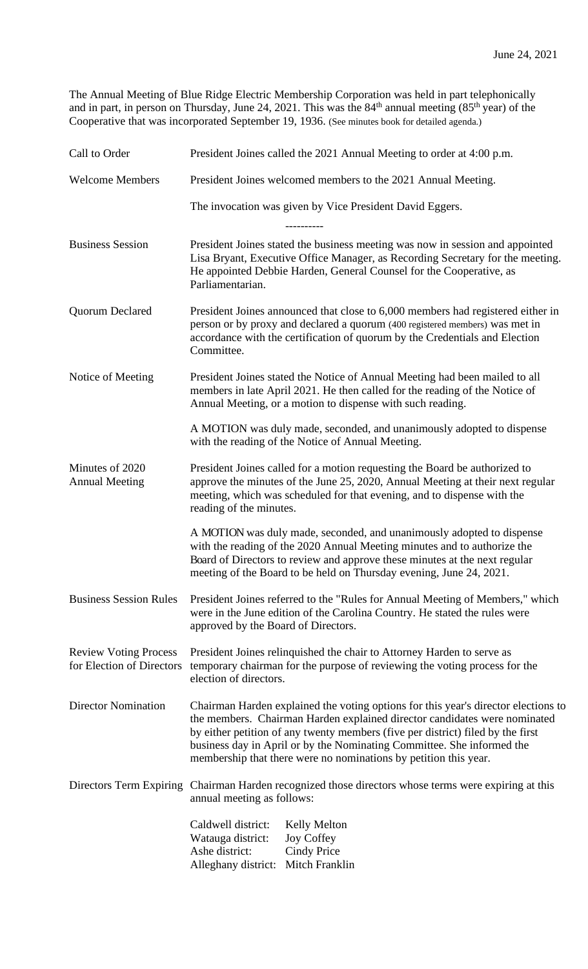The Annual Meeting of Blue Ridge Electric Membership Corporation was held in part telephonically and in part, in person on Thursday, June 24, 2021. This was the  $84<sup>th</sup>$  annual meeting ( $85<sup>th</sup>$  year) of the Cooperative that was incorporated September 19, 1936. (See minutes book for detailed agenda.)

| Call to Order                                             | President Joines called the 2021 Annual Meeting to order at 4:00 p.m.                                                                                                                                                                                                                                                                                                                            |
|-----------------------------------------------------------|--------------------------------------------------------------------------------------------------------------------------------------------------------------------------------------------------------------------------------------------------------------------------------------------------------------------------------------------------------------------------------------------------|
| <b>Welcome Members</b>                                    | President Joines welcomed members to the 2021 Annual Meeting.                                                                                                                                                                                                                                                                                                                                    |
|                                                           | The invocation was given by Vice President David Eggers.                                                                                                                                                                                                                                                                                                                                         |
|                                                           | ----------                                                                                                                                                                                                                                                                                                                                                                                       |
| <b>Business Session</b>                                   | President Joines stated the business meeting was now in session and appointed<br>Lisa Bryant, Executive Office Manager, as Recording Secretary for the meeting.<br>He appointed Debbie Harden, General Counsel for the Cooperative, as<br>Parliamentarian.                                                                                                                                       |
| Quorum Declared                                           | President Joines announced that close to 6,000 members had registered either in<br>person or by proxy and declared a quorum (400 registered members) was met in<br>accordance with the certification of quorum by the Credentials and Election<br>Committee.                                                                                                                                     |
| Notice of Meeting                                         | President Joines stated the Notice of Annual Meeting had been mailed to all<br>members in late April 2021. He then called for the reading of the Notice of<br>Annual Meeting, or a motion to dispense with such reading.                                                                                                                                                                         |
|                                                           | A MOTION was duly made, seconded, and unanimously adopted to dispense<br>with the reading of the Notice of Annual Meeting.                                                                                                                                                                                                                                                                       |
| Minutes of 2020<br><b>Annual Meeting</b>                  | President Joines called for a motion requesting the Board be authorized to<br>approve the minutes of the June 25, 2020, Annual Meeting at their next regular<br>meeting, which was scheduled for that evening, and to dispense with the<br>reading of the minutes.                                                                                                                               |
|                                                           | A MOTION was duly made, seconded, and unanimously adopted to dispense<br>with the reading of the 2020 Annual Meeting minutes and to authorize the<br>Board of Directors to review and approve these minutes at the next regular<br>meeting of the Board to be held on Thursday evening, June 24, 2021.                                                                                           |
| <b>Business Session Rules</b>                             | President Joines referred to the "Rules for Annual Meeting of Members," which<br>were in the June edition of the Carolina Country. He stated the rules were<br>approved by the Board of Directors.                                                                                                                                                                                               |
| <b>Review Voting Process</b><br>for Election of Directors | President Joines relinquished the chair to Attorney Harden to serve as<br>temporary chairman for the purpose of reviewing the voting process for the<br>election of directors.                                                                                                                                                                                                                   |
| <b>Director Nomination</b>                                | Chairman Harden explained the voting options for this year's director elections to<br>the members. Chairman Harden explained director candidates were nominated<br>by either petition of any twenty members (five per district) filed by the first<br>business day in April or by the Nominating Committee. She informed the<br>membership that there were no nominations by petition this year. |
| Directors Term Expiring                                   | Chairman Harden recognized those directors whose terms were expiring at this<br>annual meeting as follows:                                                                                                                                                                                                                                                                                       |
|                                                           | Caldwell district:<br><b>Kelly Melton</b><br>Watauga district:<br><b>Joy Coffey</b><br>Ashe district:<br><b>Cindy Price</b><br>Mitch Franklin<br>Alleghany district:                                                                                                                                                                                                                             |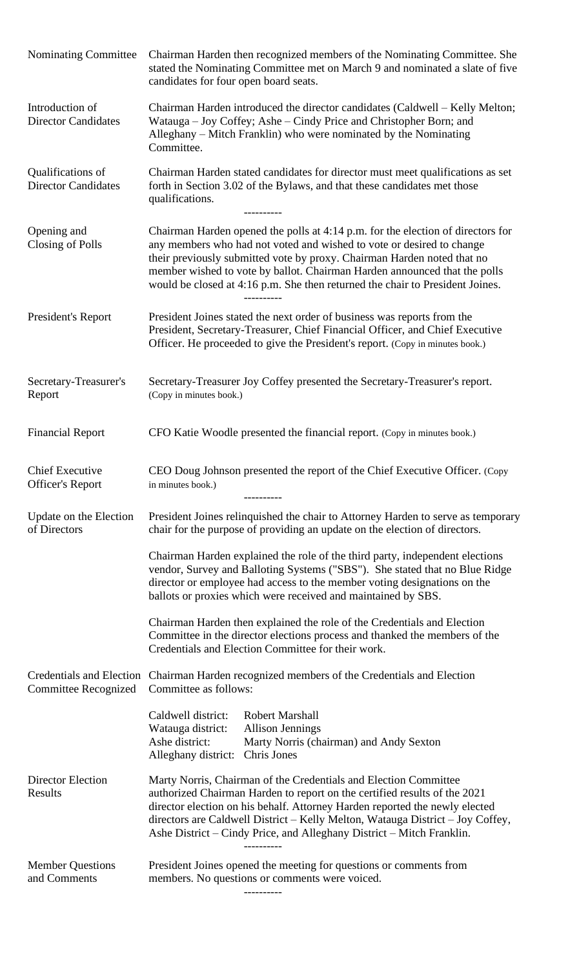| Nominating Committee                              | Chairman Harden then recognized members of the Nominating Committee. She<br>stated the Nominating Committee met on March 9 and nominated a slate of five<br>candidates for four open board seats.                                                                                                                                                                                                 |
|---------------------------------------------------|---------------------------------------------------------------------------------------------------------------------------------------------------------------------------------------------------------------------------------------------------------------------------------------------------------------------------------------------------------------------------------------------------|
| Introduction of<br><b>Director Candidates</b>     | Chairman Harden introduced the director candidates (Caldwell – Kelly Melton;<br>Watauga – Joy Coffey; Ashe – Cindy Price and Christopher Born; and<br>Alleghany – Mitch Franklin) who were nominated by the Nominating<br>Committee.                                                                                                                                                              |
| Qualifications of<br><b>Director Candidates</b>   | Chairman Harden stated candidates for director must meet qualifications as set<br>forth in Section 3.02 of the Bylaws, and that these candidates met those<br>qualifications.                                                                                                                                                                                                                     |
| Opening and<br>Closing of Polls                   | Chairman Harden opened the polls at 4:14 p.m. for the election of directors for<br>any members who had not voted and wished to vote or desired to change<br>their previously submitted vote by proxy. Chairman Harden noted that no<br>member wished to vote by ballot. Chairman Harden announced that the polls<br>would be closed at 4:16 p.m. She then returned the chair to President Joines. |
| President's Report                                | President Joines stated the next order of business was reports from the<br>President, Secretary-Treasurer, Chief Financial Officer, and Chief Executive<br>Officer. He proceeded to give the President's report. (Copy in minutes book.)                                                                                                                                                          |
| Secretary-Treasurer's<br>Report                   | Secretary-Treasurer Joy Coffey presented the Secretary-Treasurer's report.<br>(Copy in minutes book.)                                                                                                                                                                                                                                                                                             |
| <b>Financial Report</b>                           | CFO Katie Woodle presented the financial report. (Copy in minutes book.)                                                                                                                                                                                                                                                                                                                          |
| <b>Chief Executive</b><br><b>Officer's Report</b> | CEO Doug Johnson presented the report of the Chief Executive Officer. (Copy<br>in minutes book.)<br>----------                                                                                                                                                                                                                                                                                    |
| Update on the Election<br>of Directors            | President Joines relinquished the chair to Attorney Harden to serve as temporary<br>chair for the purpose of providing an update on the election of directors.                                                                                                                                                                                                                                    |
|                                                   | Chairman Harden explained the role of the third party, independent elections<br>vendor, Survey and Balloting Systems ("SBS"). She stated that no Blue Ridge<br>director or employee had access to the member voting designations on the<br>ballots or proxies which were received and maintained by SBS.                                                                                          |
|                                                   | Chairman Harden then explained the role of the Credentials and Election<br>Committee in the director elections process and thanked the members of the<br>Credentials and Election Committee for their work.                                                                                                                                                                                       |
| <b>Committee Recognized</b>                       | Credentials and Election Chairman Harden recognized members of the Credentials and Election<br>Committee as follows:                                                                                                                                                                                                                                                                              |
|                                                   | <b>Robert Marshall</b><br>Caldwell district:<br>Watauga district:<br><b>Allison Jennings</b><br>Ashe district:<br>Marty Norris (chairman) and Andy Sexton<br>Chris Jones<br>Alleghany district:                                                                                                                                                                                                   |
| <b>Director Election</b><br>Results               | Marty Norris, Chairman of the Credentials and Election Committee<br>authorized Chairman Harden to report on the certified results of the 2021<br>director election on his behalf. Attorney Harden reported the newly elected<br>directors are Caldwell District - Kelly Melton, Watauga District - Joy Coffey,<br>Ashe District – Cindy Price, and Alleghany District – Mitch Franklin.           |
| <b>Member Questions</b><br>and Comments           | President Joines opened the meeting for questions or comments from<br>members. No questions or comments were voiced.                                                                                                                                                                                                                                                                              |